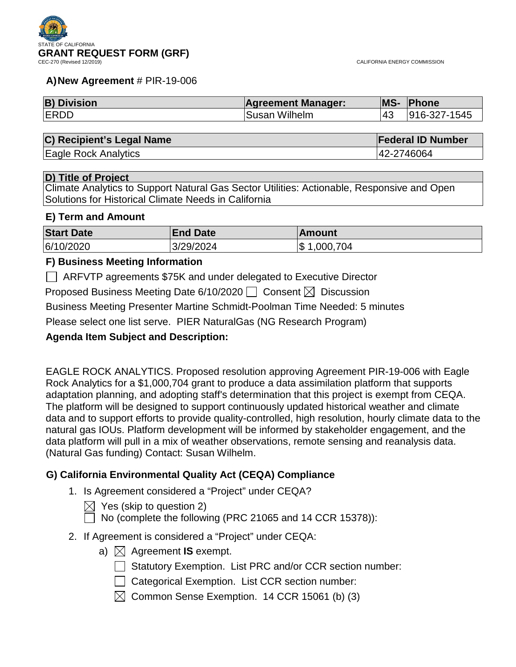

#### **A)New Agreement** # PIR-19-006

| <b>B) Division</b> | <b>Agreement Manager:</b> | <b>MS-</b> | <b>Phone</b> |
|--------------------|---------------------------|------------|--------------|
| <b>IERDD</b>       | Susan Wilhelm             | 143        | 916-327-1545 |

#### **C) Recipient's Legal Name Federal ID Number**

Eagle Rock Analytics 42-2746064

## **D) Title of Project**

Climate Analytics to Support Natural Gas Sector Utilities: Actionable, Responsive and Open Solutions for Historical Climate Needs in California

#### **E) Term and Amount**

| <b>Start Date</b> | <b>End Date</b> | ∣Amount         |
|-------------------|-----------------|-----------------|
| 6/10/2020         | 3/29/2024       | Ι\$<br>,000,704 |

## **F) Business Meeting Information**

ARFVTP agreements \$75K and under delegated to Executive Director

Proposed Business Meeting Date 6/10/2020  $\Box$  Consent  $\boxtimes$  Discussion

Business Meeting Presenter Martine Schmidt-Poolman Time Needed: 5 minutes

Please select one list serve. PIER NaturalGas (NG Research Program)

## **Agenda Item Subject and Description:**

EAGLE ROCK ANALYTICS. Proposed resolution approving Agreement PIR-19-006 with Eagle Rock Analytics for a \$1,000,704 grant to produce a data assimilation platform that supports adaptation planning, and adopting staff's determination that this project is exempt from CEQA. The platform will be designed to support continuously updated historical weather and climate data and to support efforts to provide quality-controlled, high resolution, hourly climate data to the natural gas IOUs. Platform development will be informed by stakeholder engagement, and the data platform will pull in a mix of weather observations, remote sensing and reanalysis data. (Natural Gas funding) Contact: Susan Wilhelm.

## **G) California Environmental Quality Act (CEQA) Compliance**

- 1. Is Agreement considered a "Project" under CEQA?
	- $\boxtimes$  Yes (skip to question 2)
	- $\Box$  No (complete the following (PRC 21065 and 14 CCR 15378)):
- 2. If Agreement is considered a "Project" under CEQA:
	- a)  $\boxtimes$  Agreement **IS** exempt.
		- $\Box$  Statutory Exemption. List PRC and/or CCR section number:
		- Categorical Exemption. List CCR section number:
		- $\boxtimes$  Common Sense Exemption. 14 CCR 15061 (b) (3)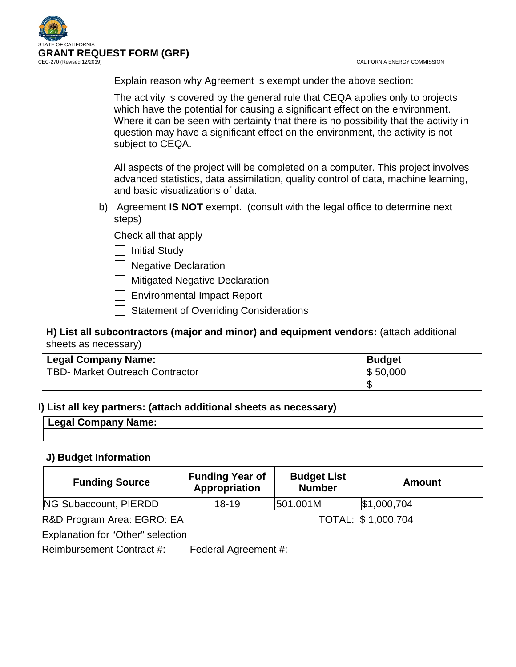CALIFORNIA ENERGY COMMISSION



Explain reason why Agreement is exempt under the above section:

The activity is covered by the general rule that CEQA applies only to projects which have the potential for causing a significant effect on the environment. Where it can be seen with certainty that there is no possibility that the activity in question may have a significant effect on the environment, the activity is not subject to CEQA.

All aspects of the project will be completed on a computer. This project involves advanced statistics, data assimilation, quality control of data, machine learning, and basic visualizations of data.

b) Agreement **IS NOT** exempt. (consult with the legal office to determine next steps)

Check all that apply

 $\Box$  Initial Study

 $\Box$  Negative Declaration

 $\Box$  Mitigated Negative Declaration

Environmental Impact Report

 $\Box$  Statement of Overriding Considerations

## **H) List all subcontractors (major and minor) and equipment vendors:** (attach additional sheets as necessary)

| <b>Legal Company Name:</b>      | <b>Budget</b> |
|---------------------------------|---------------|
| TBD- Market Outreach Contractor | \$50,000      |
|                                 |               |

## **I) List all key partners: (attach additional sheets as necessary)**

## **Legal Company Name:**

## **J) Budget Information**

| <b>Funding Source</b> | <b>Funding Year of</b><br>Appropriation | <b>Budget List</b><br><b>Number</b> | Amount      |
|-----------------------|-----------------------------------------|-------------------------------------|-------------|
| NG Subaccount, PIERDD | $18 - 19$                               | 501.001M                            | \$1,000,704 |
|                       |                                         |                                     |             |

R&D Program Area: EGRO: EA TOTAL: \$1,000,704

Explanation for "Other" selection

Reimbursement Contract #: Federal Agreement #: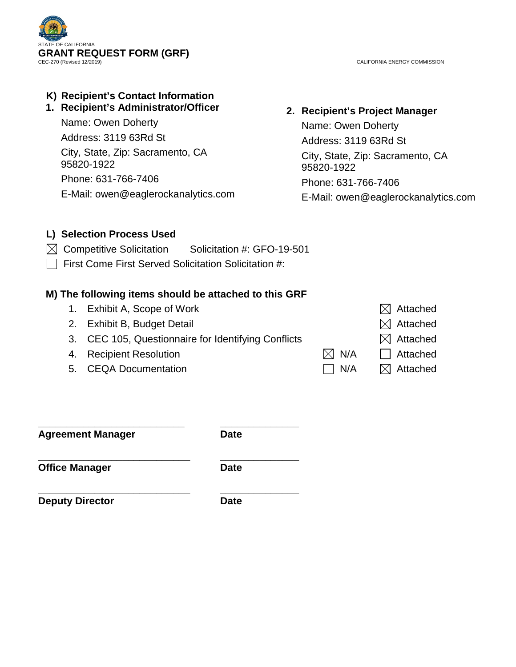

CALIFORNIA ENERGY COMMISSION

# **K) Recipient's Contact Information**

## **1. Recipient's Administrator/Officer**

Name: Owen Doherty Address: 3119 63Rd St

City, State, Zip: Sacramento, CA 95820-1922

Phone: 631-766-7406 E-Mail: owen@eaglerockanalytics.com

## **2. Recipient's Project Manager**

Name: Owen Doherty Address: 3119 63Rd St City, State, Zip: Sacramento, CA 95820-1922 Phone: 631-766-7406 E-Mail: owen@eaglerockanalytics.com

## **L) Selection Process Used**

- $\boxtimes$  Competitive Solicitation Solicitation #: GFO-19-501
- $\Box$  First Come First Served Solicitation Solicitation #:

## **M) The following items should be attached to this GRF**

- 1. Exhibit A, Scope of Work  $\boxtimes$  Attached
- 2. Exhibit B, Budget Detail  $\boxtimes$  Attached
- 3. CEC 105, Questionnaire for Identifying Conflicts  $\boxtimes$  Attached
- 4. Recipient Resolution  $\boxtimes$  N/A  $\Box$  Attached
- 5. CEQA Documentation  $\Box$  N/A  $\Box$  Attached

|     | $\boxtimes$ Attach  |
|-----|---------------------|
|     | $\boxtimes$ Attache |
|     | $\boxtimes$ Attach  |
| N/A | $\Box$ Attache      |
| N/A | $\boxtimes$ Attache |

**\_\_\_\_\_\_\_\_\_\_\_\_\_\_\_\_\_\_\_\_\_\_\_\_\_\_ \_\_\_\_\_\_\_\_\_\_\_\_\_\_ Agreement Manager Date**

**\_\_\_\_\_\_\_\_\_\_\_\_\_\_\_\_\_\_\_\_\_\_\_\_\_\_\_ \_\_\_\_\_\_\_\_\_\_\_\_\_\_ Office Manager Date** 

**\_\_\_\_\_\_\_\_\_\_\_\_\_\_\_\_\_\_\_\_\_\_\_\_\_\_\_ \_\_\_\_\_\_\_\_\_\_\_\_\_\_ Deputy Director Date**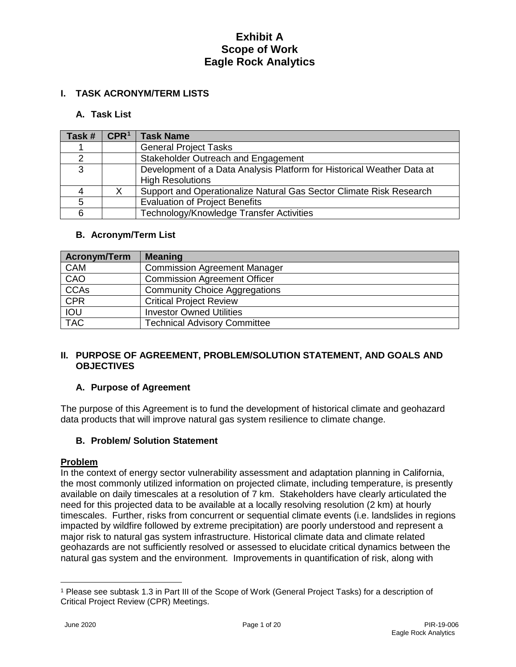## **I. TASK ACRONYM/TERM LISTS**

#### **A. Task List**

| Task# | CPR <sup>1</sup> | <b>Task Name</b>                                                       |
|-------|------------------|------------------------------------------------------------------------|
|       |                  | <b>General Project Tasks</b>                                           |
| ⌒     |                  | Stakeholder Outreach and Engagement                                    |
| 3     |                  | Development of a Data Analysis Platform for Historical Weather Data at |
|       |                  | <b>High Resolutions</b>                                                |
|       |                  | Support and Operationalize Natural Gas Sector Climate Risk Research    |
| 5     |                  | <b>Evaluation of Project Benefits</b>                                  |
|       |                  | Technology/Knowledge Transfer Activities                               |

#### **B. Acronym/Term List**

| <b>Acronym/Term</b> | <b>Meaning</b>                       |
|---------------------|--------------------------------------|
| <b>CAM</b>          | <b>Commission Agreement Manager</b>  |
| CAO                 | <b>Commission Agreement Officer</b>  |
| <b>CCAs</b>         | <b>Community Choice Aggregations</b> |
| <b>CPR</b>          | <b>Critical Project Review</b>       |
| <b>IOU</b>          | <b>Investor Owned Utilities</b>      |
| <b>TAC</b>          | <b>Technical Advisory Committee</b>  |

#### **II. PURPOSE OF AGREEMENT, PROBLEM/SOLUTION STATEMENT, AND GOALS AND OBJECTIVES**

#### **A. Purpose of Agreement**

The purpose of this Agreement is to fund the development of historical climate and geohazard data products that will improve natural gas system resilience to climate change.

#### **B. Problem/ Solution Statement**

#### **Problem**

In the context of energy sector vulnerability assessment and adaptation planning in California, the most commonly utilized information on projected climate, including temperature, is presently available on daily timescales at a resolution of 7 km. Stakeholders have clearly articulated the need for this projected data to be available at a locally resolving resolution (2 km) at hourly timescales. Further, risks from concurrent or sequential climate events (i.e. landslides in regions impacted by wildfire followed by extreme precipitation) are poorly understood and represent a major risk to natural gas system infrastructure. Historical climate data and climate related geohazards are not sufficiently resolved or assessed to elucidate critical dynamics between the natural gas system and the environment. Improvements in quantification of risk, along with

 $\overline{a}$ 

<span id="page-3-0"></span><sup>1</sup> Please see subtask 1.3 in Part III of the Scope of Work (General Project Tasks) for a description of Critical Project Review (CPR) Meetings.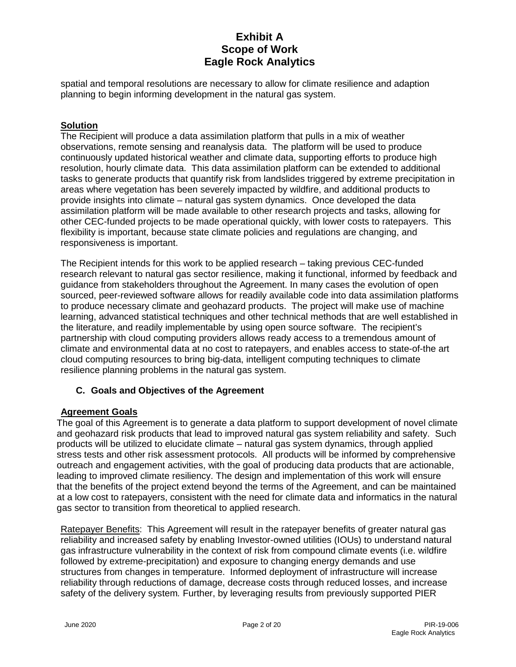spatial and temporal resolutions are necessary to allow for climate resilience and adaption planning to begin informing development in the natural gas system.

## **Solution**

The Recipient will produce a data assimilation platform that pulls in a mix of weather observations, remote sensing and reanalysis data. The platform will be used to produce continuously updated historical weather and climate data, supporting efforts to produce high resolution, hourly climate data. This data assimilation platform can be extended to additional tasks to generate products that quantify risk from landslides triggered by extreme precipitation in areas where vegetation has been severely impacted by wildfire, and additional products to provide insights into climate – natural gas system dynamics. Once developed the data assimilation platform will be made available to other research projects and tasks, allowing for other CEC-funded projects to be made operational quickly, with lower costs to ratepayers. This flexibility is important, because state climate policies and regulations are changing, and responsiveness is important.

The Recipient intends for this work to be applied research – taking previous CEC-funded research relevant to natural gas sector resilience, making it functional, informed by feedback and guidance from stakeholders throughout the Agreement. In many cases the evolution of open sourced, peer-reviewed software allows for readily available code into data assimilation platforms to produce necessary climate and geohazard products. The project will make use of machine learning, advanced statistical techniques and other technical methods that are well established in the literature, and readily implementable by using open source software. The recipient's partnership with cloud computing providers allows ready access to a tremendous amount of climate and environmental data at no cost to ratepayers, and enables access to state-of-the art cloud computing resources to bring big-data, intelligent computing techniques to climate resilience planning problems in the natural gas system.

## **C. Goals and Objectives of the Agreement**

#### **Agreement Goals**

The goal of this Agreement is to generate a data platform to support development of novel climate and geohazard risk products that lead to improved natural gas system reliability and safety. Such products will be utilized to elucidate climate – natural gas system dynamics, through applied stress tests and other risk assessment protocols. All products will be informed by comprehensive outreach and engagement activities, with the goal of producing data products that are actionable, leading to improved climate resiliency. The design and implementation of this work will ensure that the benefits of the project extend beyond the terms of the Agreement, and can be maintained at a low cost to ratepayers, consistent with the need for climate data and informatics in the natural gas sector to transition from theoretical to applied research.

Ratepayer Benefits: This Agreement will result in the ratepayer benefits of greater natural gas reliability and increased safety by enabling Investor-owned utilities (IOUs) to understand natural gas infrastructure vulnerability in the context of risk from compound climate events (i.e. wildfire followed by extreme-precipitation) and exposure to changing energy demands and use structures from changes in temperature. Informed deployment of infrastructure will increase reliability through reductions of damage, decrease costs through reduced losses, and increase safety of the delivery system*.* Further, by leveraging results from previously supported PIER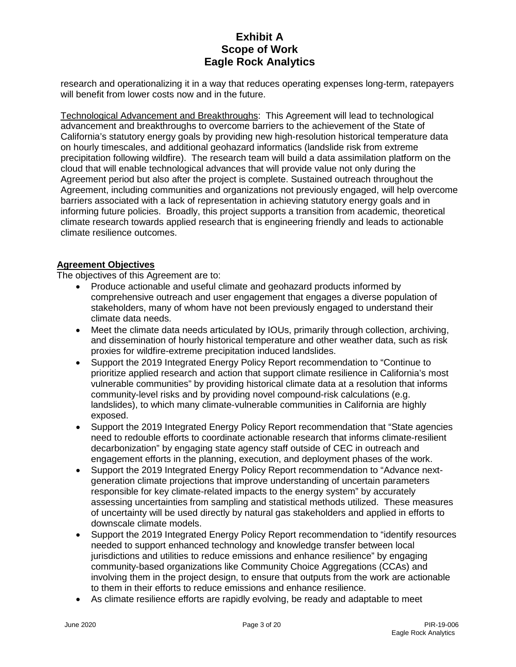research and operationalizing it in a way that reduces operating expenses long-term, ratepayers will benefit from lower costs now and in the future.

Technological Advancement and Breakthroughs: This Agreement will lead to technological advancement and breakthroughs to overcome barriers to the achievement of the State of California's statutory energy goals by providing new high-resolution historical temperature data on hourly timescales, and additional geohazard informatics (landslide risk from extreme precipitation following wildfire). The research team will build a data assimilation platform on the cloud that will enable technological advances that will provide value not only during the Agreement period but also after the project is complete. Sustained outreach throughout the Agreement, including communities and organizations not previously engaged, will help overcome barriers associated with a lack of representation in achieving statutory energy goals and in informing future policies. Broadly, this project supports a transition from academic, theoretical climate research towards applied research that is engineering friendly and leads to actionable climate resilience outcomes.

#### **Agreement Objectives**

The objectives of this Agreement are to:

- Produce actionable and useful climate and geohazard products informed by comprehensive outreach and user engagement that engages a diverse population of stakeholders, many of whom have not been previously engaged to understand their climate data needs.
- Meet the climate data needs articulated by IOUs, primarily through collection, archiving, and dissemination of hourly historical temperature and other weather data, such as risk proxies for wildfire-extreme precipitation induced landslides.
- Support the 2019 Integrated Energy Policy Report recommendation to "Continue to prioritize applied research and action that support climate resilience in California's most vulnerable communities" by providing historical climate data at a resolution that informs community-level risks and by providing novel compound-risk calculations (e.g. landslides), to which many climate-vulnerable communities in California are highly exposed.
- Support the 2019 Integrated Energy Policy Report recommendation that "State agencies" need to redouble efforts to coordinate actionable research that informs climate-resilient decarbonization" by engaging state agency staff outside of CEC in outreach and engagement efforts in the planning, execution, and deployment phases of the work.
- Support the 2019 Integrated Energy Policy Report recommendation to "Advance nextgeneration climate projections that improve understanding of uncertain parameters responsible for key climate-related impacts to the energy system" by accurately assessing uncertainties from sampling and statistical methods utilized. These measures of uncertainty will be used directly by natural gas stakeholders and applied in efforts to downscale climate models.
- Support the 2019 Integrated Energy Policy Report recommendation to "identify resources" needed to support enhanced technology and knowledge transfer between local jurisdictions and utilities to reduce emissions and enhance resilience" by engaging community-based organizations like Community Choice Aggregations (CCAs) and involving them in the project design, to ensure that outputs from the work are actionable to them in their efforts to reduce emissions and enhance resilience.
- As climate resilience efforts are rapidly evolving, be ready and adaptable to meet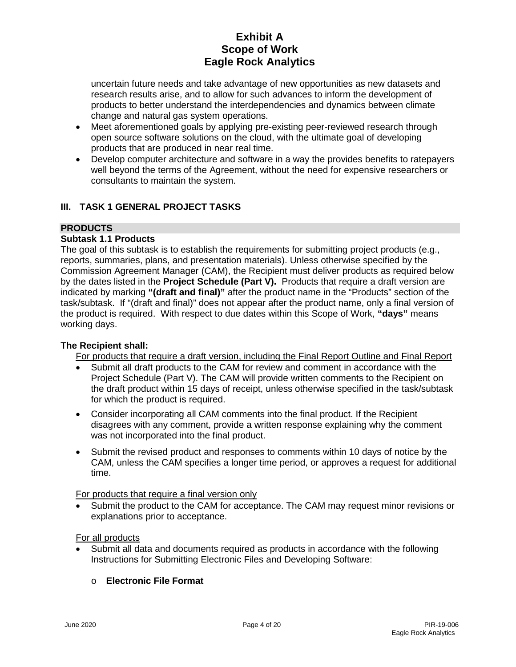uncertain future needs and take advantage of new opportunities as new datasets and research results arise, and to allow for such advances to inform the development of products to better understand the interdependencies and dynamics between climate change and natural gas system operations.

- Meet aforementioned goals by applying pre-existing peer-reviewed research through open source software solutions on the cloud, with the ultimate goal of developing products that are produced in near real time.
- Develop computer architecture and software in a way the provides benefits to ratepayers well beyond the terms of the Agreement, without the need for expensive researchers or consultants to maintain the system.

## **III. TASK 1 GENERAL PROJECT TASKS**

## **PRODUCTS**

## **Subtask 1.1 Products**

The goal of this subtask is to establish the requirements for submitting project products (e.g., reports, summaries, plans, and presentation materials). Unless otherwise specified by the Commission Agreement Manager (CAM), the Recipient must deliver products as required below by the dates listed in the **Project Schedule (Part V).** Products that require a draft version are indicated by marking **"(draft and final)"** after the product name in the "Products" section of the task/subtask. If "(draft and final)" does not appear after the product name, only a final version of the product is required. With respect to due dates within this Scope of Work, **"days"** means working days.

#### **The Recipient shall:**

For products that require a draft version, including the Final Report Outline and Final Report

- Submit all draft products to the CAM for review and comment in accordance with the Project Schedule (Part V). The CAM will provide written comments to the Recipient on the draft product within 15 days of receipt, unless otherwise specified in the task/subtask for which the product is required.
- Consider incorporating all CAM comments into the final product. If the Recipient disagrees with any comment, provide a written response explaining why the comment was not incorporated into the final product.
- Submit the revised product and responses to comments within 10 days of notice by the CAM, unless the CAM specifies a longer time period, or approves a request for additional time.

For products that require a final version only

Submit the product to the CAM for acceptance. The CAM may request minor revisions or explanations prior to acceptance.

For all products

• Submit all data and documents required as products in accordance with the following Instructions for Submitting Electronic Files and Developing Software:

## o **Electronic File Format**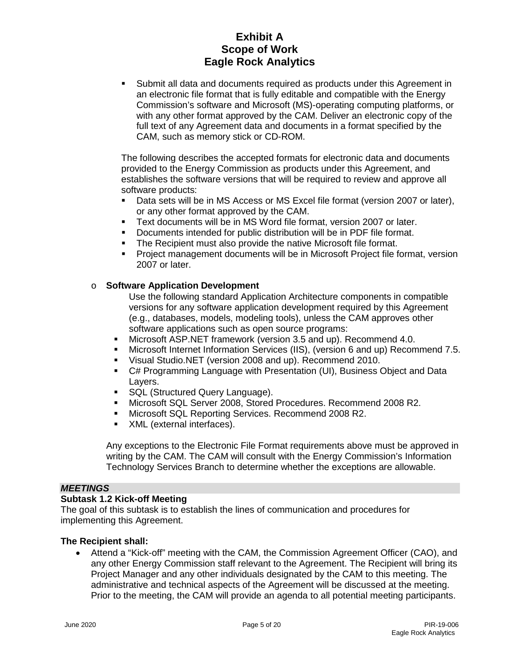Submit all data and documents required as products under this Agreement in an electronic file format that is fully editable and compatible with the Energy Commission's software and Microsoft (MS)-operating computing platforms, or with any other format approved by the CAM. Deliver an electronic copy of the full text of any Agreement data and documents in a format specified by the CAM, such as memory stick or CD-ROM.

The following describes the accepted formats for electronic data and documents provided to the Energy Commission as products under this Agreement, and establishes the software versions that will be required to review and approve all software products:

- Data sets will be in MS Access or MS Excel file format (version 2007 or later), or any other format approved by the CAM.
- Text documents will be in MS Word file format, version 2007 or later.
- Documents intended for public distribution will be in PDF file format.
- **The Recipient must also provide the native Microsoft file format.**
- Project management documents will be in Microsoft Project file format, version 2007 or later.

#### o **Software Application Development**

Use the following standard Application Architecture components in compatible versions for any software application development required by this Agreement (e.g., databases, models, modeling tools), unless the CAM approves other software applications such as open source programs:

- Microsoft ASP.NET framework (version 3.5 and up). Recommend 4.0.
- Microsoft Internet Information Services (IIS), (version 6 and up) Recommend 7.5.
- Visual Studio.NET (version 2008 and up). Recommend 2010.
- C# Programming Language with Presentation (UI), Business Object and Data Layers.
- **SQL (Structured Query Language).**
- Microsoft SQL Server 2008, Stored Procedures. Recommend 2008 R2.
- Microsoft SQL Reporting Services. Recommend 2008 R2.
- **NORE** XML (external interfaces).

Any exceptions to the Electronic File Format requirements above must be approved in writing by the CAM. The CAM will consult with the Energy Commission's Information Technology Services Branch to determine whether the exceptions are allowable.

#### *MEETINGS*

#### **Subtask 1.2 Kick-off Meeting**

The goal of this subtask is to establish the lines of communication and procedures for implementing this Agreement.

#### **The Recipient shall:**

• Attend a "Kick-off" meeting with the CAM, the Commission Agreement Officer (CAO), and any other Energy Commission staff relevant to the Agreement. The Recipient will bring its Project Manager and any other individuals designated by the CAM to this meeting. The administrative and technical aspects of the Agreement will be discussed at the meeting. Prior to the meeting, the CAM will provide an agenda to all potential meeting participants.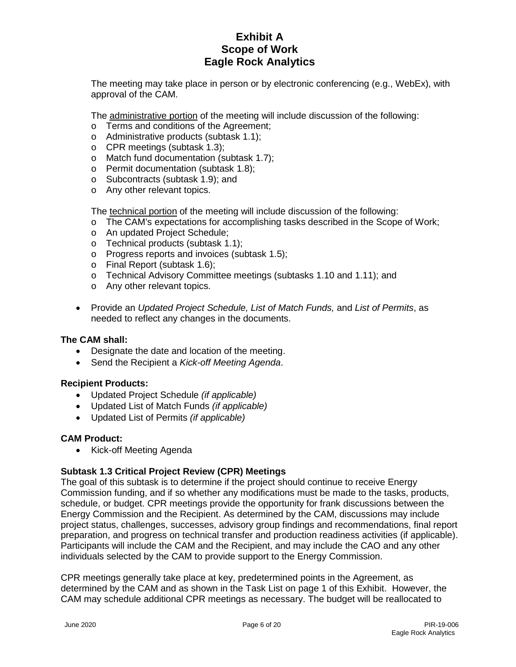The meeting may take place in person or by electronic conferencing (e.g., WebEx), with approval of the CAM.

The administrative portion of the meeting will include discussion of the following:

- o Terms and conditions of the Agreement;
- o Administrative products (subtask 1.1);
- o CPR meetings (subtask 1.3);
- o Match fund documentation (subtask 1.7);
- o Permit documentation (subtask 1.8);
- o Subcontracts (subtask 1.9); and
- o Any other relevant topics.

The technical portion of the meeting will include discussion of the following:

- o The CAM's expectations for accomplishing tasks described in the Scope of Work;
- o An updated Project Schedule;
- o Technical products (subtask 1.1);
- o Progress reports and invoices (subtask 1.5);
- o Final Report (subtask 1.6);
- o Technical Advisory Committee meetings (subtasks 1.10 and 1.11); and
- o Any other relevant topics.
- Provide an *Updated Project Schedule, List of Match Funds,* and *List of Permits*, as needed to reflect any changes in the documents.

#### **The CAM shall:**

- Designate the date and location of the meeting.
- Send the Recipient a *Kick-off Meeting Agenda*.

#### **Recipient Products:**

- Updated Project Schedule *(if applicable)*
- Updated List of Match Funds *(if applicable)*
- Updated List of Permits *(if applicable)*

#### **CAM Product:**

• Kick-off Meeting Agenda

## **Subtask 1.3 Critical Project Review (CPR) Meetings**

The goal of this subtask is to determine if the project should continue to receive Energy Commission funding, and if so whether any modifications must be made to the tasks, products, schedule, or budget. CPR meetings provide the opportunity for frank discussions between the Energy Commission and the Recipient. As determined by the CAM, discussions may include project status, challenges, successes, advisory group findings and recommendations, final report preparation, and progress on technical transfer and production readiness activities (if applicable). Participants will include the CAM and the Recipient, and may include the CAO and any other individuals selected by the CAM to provide support to the Energy Commission.

CPR meetings generally take place at key, predetermined points in the Agreement, as determined by the CAM and as shown in the Task List on page 1 of this Exhibit. However, the CAM may schedule additional CPR meetings as necessary. The budget will be reallocated to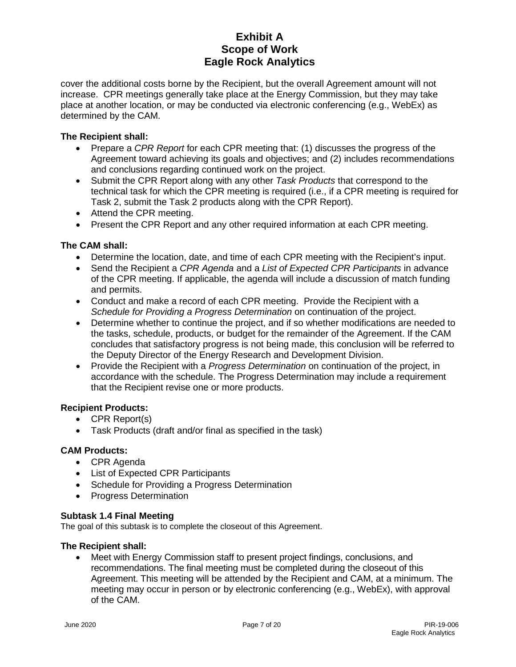cover the additional costs borne by the Recipient, but the overall Agreement amount will not increase. CPR meetings generally take place at the Energy Commission, but they may take place at another location, or may be conducted via electronic conferencing (e.g., WebEx) as determined by the CAM.

## **The Recipient shall:**

- Prepare a *CPR Report* for each CPR meeting that: (1) discusses the progress of the Agreement toward achieving its goals and objectives; and (2) includes recommendations and conclusions regarding continued work on the project.
- Submit the CPR Report along with any other *Task Products* that correspond to the technical task for which the CPR meeting is required (i.e., if a CPR meeting is required for Task 2, submit the Task 2 products along with the CPR Report).
- Attend the CPR meeting.
- Present the CPR Report and any other required information at each CPR meeting.

#### **The CAM shall:**

- Determine the location, date, and time of each CPR meeting with the Recipient's input.
- Send the Recipient a *CPR Agenda* and a *List of Expected CPR Participants* in advance of the CPR meeting. If applicable, the agenda will include a discussion of match funding and permits.
- Conduct and make a record of each CPR meeting. Provide the Recipient with a *Schedule for Providing a Progress Determination* on continuation of the project.
- Determine whether to continue the project, and if so whether modifications are needed to the tasks, schedule, products, or budget for the remainder of the Agreement. If the CAM concludes that satisfactory progress is not being made, this conclusion will be referred to the Deputy Director of the Energy Research and Development Division.
- Provide the Recipient with a *Progress Determination* on continuation of the project, in accordance with the schedule. The Progress Determination may include a requirement that the Recipient revise one or more products.

#### **Recipient Products:**

- CPR Report(s)
- Task Products (draft and/or final as specified in the task)

### **CAM Products:**

- CPR Agenda
- List of Expected CPR Participants
- Schedule for Providing a Progress Determination
- Progress Determination

#### **Subtask 1.4 Final Meeting**

The goal of this subtask is to complete the closeout of this Agreement.

#### **The Recipient shall:**

• Meet with Energy Commission staff to present project findings, conclusions, and recommendations. The final meeting must be completed during the closeout of this Agreement. This meeting will be attended by the Recipient and CAM, at a minimum. The meeting may occur in person or by electronic conferencing (e.g., WebEx), with approval of the CAM.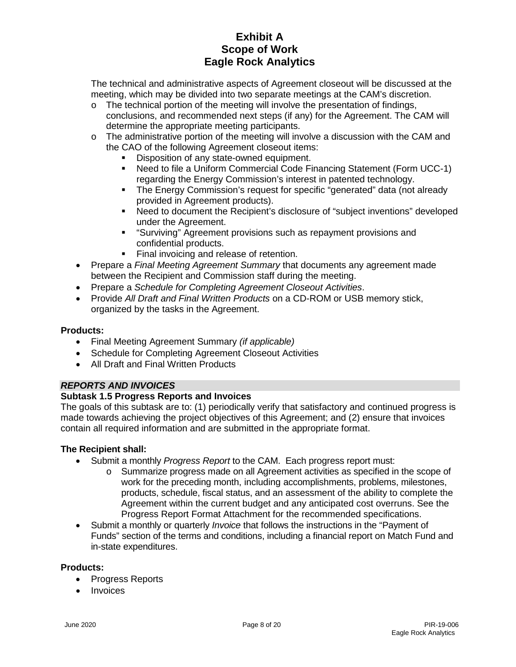The technical and administrative aspects of Agreement closeout will be discussed at the meeting, which may be divided into two separate meetings at the CAM's discretion.

- $\circ$  The technical portion of the meeting will involve the presentation of findings, conclusions, and recommended next steps (if any) for the Agreement. The CAM will determine the appropriate meeting participants.
- $\circ$  The administrative portion of the meeting will involve a discussion with the CAM and the CAO of the following Agreement closeout items:
	- Disposition of any state-owned equipment.
	- Need to file a Uniform Commercial Code Financing Statement (Form UCC-1) regarding the Energy Commission's interest in patented technology.
	- The Energy Commission's request for specific "generated" data (not already provided in Agreement products).
	- Need to document the Recipient's disclosure of "subject inventions" developed under the Agreement.
	- "Surviving" Agreement provisions such as repayment provisions and confidential products.
	- **Final invoicing and release of retention.**
- Prepare a *Final Meeting Agreement Summary* that documents any agreement made between the Recipient and Commission staff during the meeting.
- Prepare a *Schedule for Completing Agreement Closeout Activities*.
- Provide *All Draft and Final Written Products* on a CD-ROM or USB memory stick, organized by the tasks in the Agreement.

## **Products:**

- Final Meeting Agreement Summary *(if applicable)*
- Schedule for Completing Agreement Closeout Activities
- All Draft and Final Written Products

## *REPORTS AND INVOICES*

## **Subtask 1.5 Progress Reports and Invoices**

The goals of this subtask are to: (1) periodically verify that satisfactory and continued progress is made towards achieving the project objectives of this Agreement; and (2) ensure that invoices contain all required information and are submitted in the appropriate format.

## **The Recipient shall:**

- Submit a monthly *Progress Report* to the CAM. Each progress report must:
	- o Summarize progress made on all Agreement activities as specified in the scope of work for the preceding month, including accomplishments, problems, milestones, products, schedule, fiscal status, and an assessment of the ability to complete the Agreement within the current budget and any anticipated cost overruns. See the Progress Report Format Attachment for the recommended specifications.
- Submit a monthly or quarterly *Invoice* that follows the instructions in the "Payment of Funds" section of the terms and conditions, including a financial report on Match Fund and in-state expenditures.

## **Products:**

- Progress Reports
- **Invoices**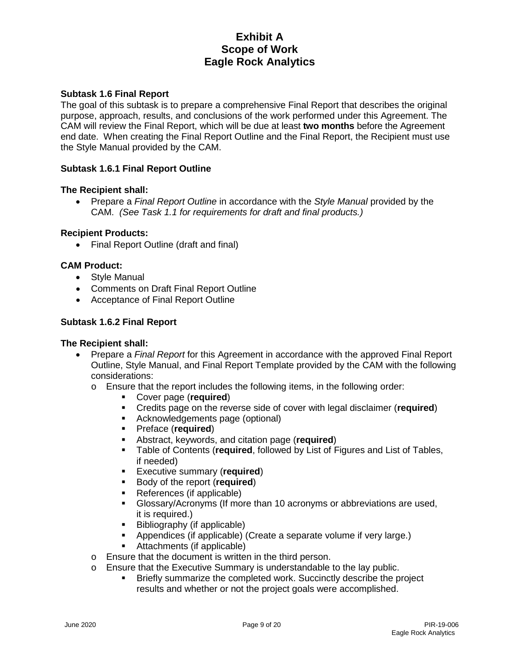### **Subtask 1.6 Final Report**

The goal of this subtask is to prepare a comprehensive Final Report that describes the original purpose, approach, results, and conclusions of the work performed under this Agreement. The CAM will review the Final Report, which will be due at least **two months** before the Agreement end date. When creating the Final Report Outline and the Final Report, the Recipient must use the Style Manual provided by the CAM.

#### **Subtask 1.6.1 Final Report Outline**

#### **The Recipient shall:**

• Prepare a *Final Report Outline* in accordance with the *Style Manual* provided by the CAM. *(See Task 1.1 for requirements for draft and final products.)*

#### **Recipient Products:**

• Final Report Outline (draft and final)

#### **CAM Product:**

- Style Manual
- Comments on Draft Final Report Outline
- Acceptance of Final Report Outline

#### **Subtask 1.6.2 Final Report**

#### **The Recipient shall:**

- Prepare a *Final Report* for this Agreement in accordance with the approved Final Report Outline, Style Manual, and Final Report Template provided by the CAM with the following considerations:
	- $\circ$  Ensure that the report includes the following items, in the following order:
		- Cover page (**required**)
			- Credits page on the reverse side of cover with legal disclaimer (**required**)
			- Acknowledgements page (optional)
			- **Preface (required)**<br>**Preface keywords**
		- **-** Abstract, keywords, and citation page (**required**)<br>**-** Table of Contents (**required** followed by List of F
		- Table of Contents (**required**, followed by List of Figures and List of Tables, if needed)
		- **Executive summary (required)**
		- **Body of the report (required)**
		- References (if applicable)
		- Glossary/Acronyms (If more than 10 acronyms or abbreviations are used, it is required.)
		- **Bibliography (if applicable)**
		- Appendices (if applicable) (Create a separate volume if very large.)
		- Attachments (if applicable)
	- o Ensure that the document is written in the third person.
	- o Ensure that the Executive Summary is understandable to the lay public.
		- Briefly summarize the completed work. Succinctly describe the project results and whether or not the project goals were accomplished.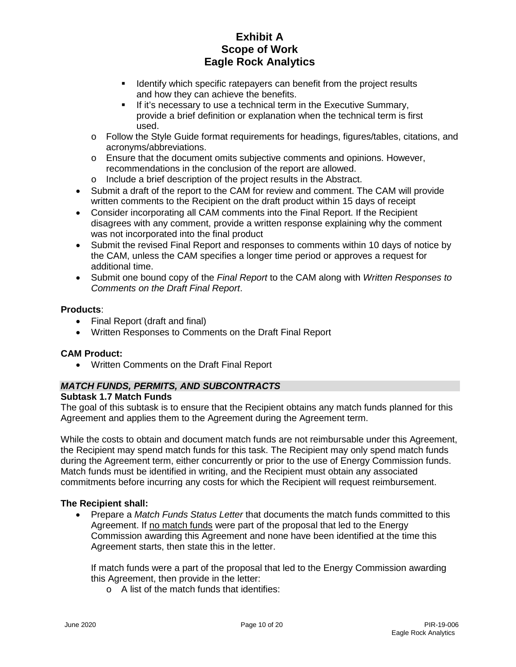- **If Identify which specific ratepayers can benefit from the project results** and how they can achieve the benefits.
- **If it's necessary to use a technical term in the Executive Summary,** provide a brief definition or explanation when the technical term is first used.
- o Follow the Style Guide format requirements for headings, figures/tables, citations, and acronyms/abbreviations.
- o Ensure that the document omits subjective comments and opinions. However, recommendations in the conclusion of the report are allowed.
- o Include a brief description of the project results in the Abstract.
- Submit a draft of the report to the CAM for review and comment. The CAM will provide written comments to the Recipient on the draft product within 15 days of receipt
- Consider incorporating all CAM comments into the Final Report. If the Recipient disagrees with any comment, provide a written response explaining why the comment was not incorporated into the final product
- Submit the revised Final Report and responses to comments within 10 days of notice by the CAM, unless the CAM specifies a longer time period or approves a request for additional time.
- Submit one bound copy of the *Final Report* to the CAM along with *Written Responses to Comments on the Draft Final Report*.

#### **Products**:

- Final Report (draft and final)
- Written Responses to Comments on the Draft Final Report

## **CAM Product:**

• Written Comments on the Draft Final Report

## *MATCH FUNDS, PERMITS, AND SUBCONTRACTS*

#### **Subtask 1.7 Match Funds**

The goal of this subtask is to ensure that the Recipient obtains any match funds planned for this Agreement and applies them to the Agreement during the Agreement term.

While the costs to obtain and document match funds are not reimbursable under this Agreement, the Recipient may spend match funds for this task. The Recipient may only spend match funds during the Agreement term, either concurrently or prior to the use of Energy Commission funds. Match funds must be identified in writing, and the Recipient must obtain any associated commitments before incurring any costs for which the Recipient will request reimbursement.

## **The Recipient shall:**

• Prepare a *Match Funds Status Letter* that documents the match funds committed to this Agreement. If no match funds were part of the proposal that led to the Energy Commission awarding this Agreement and none have been identified at the time this Agreement starts, then state this in the letter.

If match funds were a part of the proposal that led to the Energy Commission awarding this Agreement, then provide in the letter:

o A list of the match funds that identifies: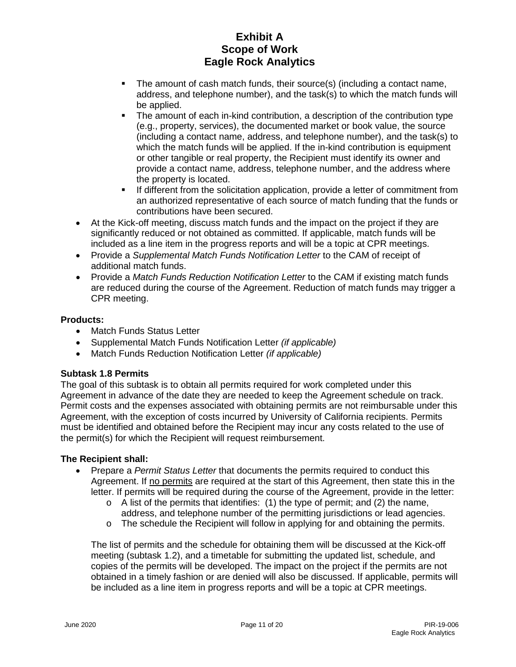- The amount of cash match funds, their source(s) (including a contact name, address, and telephone number), and the task(s) to which the match funds will be applied.
- The amount of each in-kind contribution, a description of the contribution type (e.g., property, services), the documented market or book value, the source (including a contact name, address, and telephone number), and the task(s) to which the match funds will be applied. If the in-kind contribution is equipment or other tangible or real property, the Recipient must identify its owner and provide a contact name, address, telephone number, and the address where the property is located.
- **If different from the solicitation application, provide a letter of commitment from** an authorized representative of each source of match funding that the funds or contributions have been secured.
- At the Kick-off meeting, discuss match funds and the impact on the project if they are significantly reduced or not obtained as committed. If applicable, match funds will be included as a line item in the progress reports and will be a topic at CPR meetings.
- Provide a *Supplemental Match Funds Notification Letter* to the CAM of receipt of additional match funds.
- Provide a *Match Funds Reduction Notification Letter* to the CAM if existing match funds are reduced during the course of the Agreement. Reduction of match funds may trigger a CPR meeting.

## **Products:**

- **Match Funds Status Letter**
- Supplemental Match Funds Notification Letter *(if applicable)*
- Match Funds Reduction Notification Letter *(if applicable)*

## **Subtask 1.8 Permits**

The goal of this subtask is to obtain all permits required for work completed under this Agreement in advance of the date they are needed to keep the Agreement schedule on track. Permit costs and the expenses associated with obtaining permits are not reimbursable under this Agreement, with the exception of costs incurred by University of California recipients. Permits must be identified and obtained before the Recipient may incur any costs related to the use of the permit(s) for which the Recipient will request reimbursement.

#### **The Recipient shall:**

- Prepare a *Permit Status Letter* that documents the permits required to conduct this Agreement. If no permits are required at the start of this Agreement, then state this in the letter. If permits will be required during the course of the Agreement, provide in the letter:
	- o A list of the permits that identifies: (1) the type of permit; and (2) the name, address, and telephone number of the permitting jurisdictions or lead agencies.
	- o The schedule the Recipient will follow in applying for and obtaining the permits.

The list of permits and the schedule for obtaining them will be discussed at the Kick-off meeting (subtask 1.2), and a timetable for submitting the updated list, schedule, and copies of the permits will be developed. The impact on the project if the permits are not obtained in a timely fashion or are denied will also be discussed. If applicable, permits will be included as a line item in progress reports and will be a topic at CPR meetings.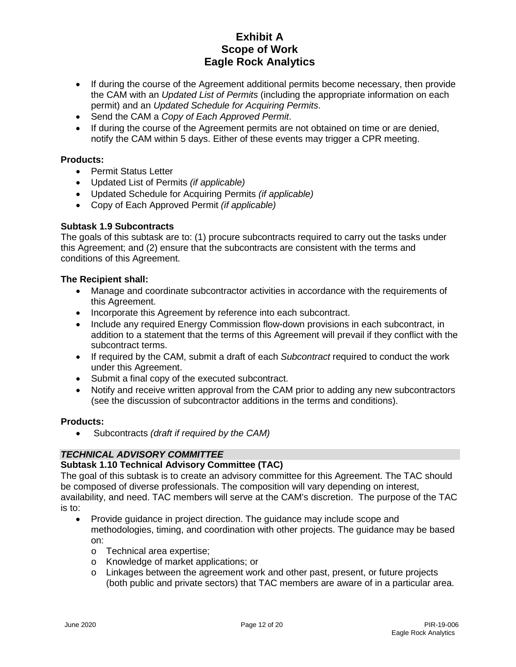- If during the course of the Agreement additional permits become necessary, then provide the CAM with an *Updated List of Permits* (including the appropriate information on each permit) and an *Updated Schedule for Acquiring Permits*.
- Send the CAM a *Copy of Each Approved Permit*.
- If during the course of the Agreement permits are not obtained on time or are denied, notify the CAM within 5 days. Either of these events may trigger a CPR meeting.

#### **Products:**

- Permit Status Letter
- Updated List of Permits *(if applicable)*
- Updated Schedule for Acquiring Permits *(if applicable)*
- Copy of Each Approved Permit *(if applicable)*

#### **Subtask 1.9 Subcontracts**

The goals of this subtask are to: (1) procure subcontracts required to carry out the tasks under this Agreement; and (2) ensure that the subcontracts are consistent with the terms and conditions of this Agreement.

#### **The Recipient shall:**

- Manage and coordinate subcontractor activities in accordance with the requirements of this Agreement.
- Incorporate this Agreement by reference into each subcontract.
- Include any required Energy Commission flow-down provisions in each subcontract, in addition to a statement that the terms of this Agreement will prevail if they conflict with the subcontract terms.
- If required by the CAM, submit a draft of each *Subcontract* required to conduct the work under this Agreement.
- Submit a final copy of the executed subcontract.
- Notify and receive written approval from the CAM prior to adding any new subcontractors (see the discussion of subcontractor additions in the terms and conditions).

#### **Products:**

• Subcontracts *(draft if required by the CAM)*

#### *TECHNICAL ADVISORY COMMITTEE*

#### **Subtask 1.10 Technical Advisory Committee (TAC)**

The goal of this subtask is to create an advisory committee for this Agreement. The TAC should be composed of diverse professionals. The composition will vary depending on interest, availability, and need. TAC members will serve at the CAM's discretion. The purpose of the TAC is to:

- Provide guidance in project direction. The guidance may include scope and methodologies, timing, and coordination with other projects. The guidance may be based on:
	- o Technical area expertise;
	- o Knowledge of market applications; or
	- $\circ$  Linkages between the agreement work and other past, present, or future projects (both public and private sectors) that TAC members are aware of in a particular area.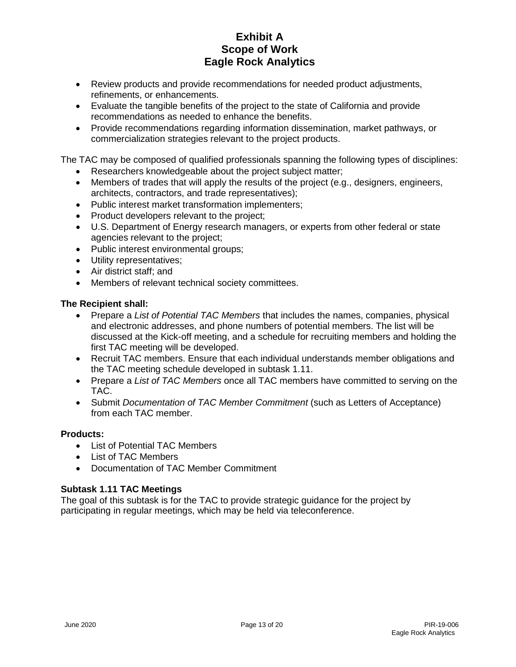- Review products and provide recommendations for needed product adjustments, refinements, or enhancements.
- Evaluate the tangible benefits of the project to the state of California and provide recommendations as needed to enhance the benefits.
- Provide recommendations regarding information dissemination, market pathways, or commercialization strategies relevant to the project products.

The TAC may be composed of qualified professionals spanning the following types of disciplines:

- Researchers knowledgeable about the project subject matter;
- Members of trades that will apply the results of the project (e.g., designers, engineers, architects, contractors, and trade representatives);
- Public interest market transformation implementers;
- Product developers relevant to the project;
- U.S. Department of Energy research managers, or experts from other federal or state agencies relevant to the project;
- Public interest environmental groups;
- Utility representatives;
- Air district staff; and
- Members of relevant technical society committees.

#### **The Recipient shall:**

- Prepare a *List of Potential TAC Members* that includes the names, companies, physical and electronic addresses, and phone numbers of potential members. The list will be discussed at the Kick-off meeting, and a schedule for recruiting members and holding the first TAC meeting will be developed.
- Recruit TAC members. Ensure that each individual understands member obligations and the TAC meeting schedule developed in subtask 1.11.
- Prepare a *List of TAC Members* once all TAC members have committed to serving on the TAC.
- Submit *Documentation of TAC Member Commitment* (such as Letters of Acceptance) from each TAC member.

#### **Products:**

- List of Potential TAC Members
- List of TAC Members
- Documentation of TAC Member Commitment

#### **Subtask 1.11 TAC Meetings**

The goal of this subtask is for the TAC to provide strategic guidance for the project by participating in regular meetings, which may be held via teleconference.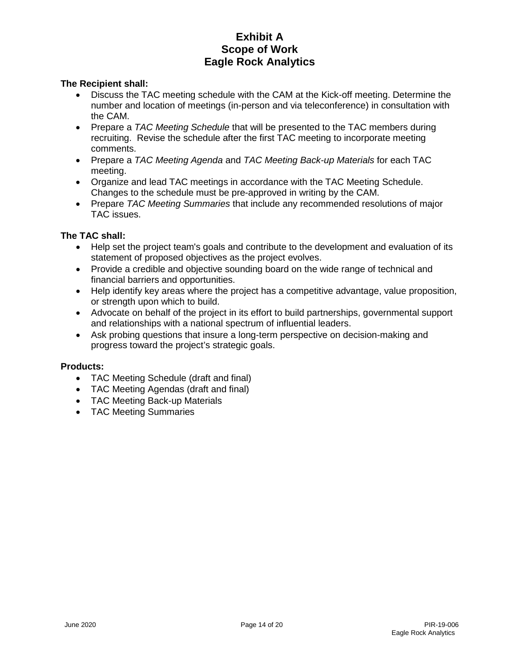#### **The Recipient shall:**

- Discuss the TAC meeting schedule with the CAM at the Kick-off meeting. Determine the number and location of meetings (in-person and via teleconference) in consultation with the CAM.
- Prepare a *TAC Meeting Schedule* that will be presented to the TAC members during recruiting. Revise the schedule after the first TAC meeting to incorporate meeting comments.
- Prepare a *TAC Meeting Agenda* and *TAC Meeting Back-up Materials* for each TAC meeting.
- Organize and lead TAC meetings in accordance with the TAC Meeting Schedule. Changes to the schedule must be pre-approved in writing by the CAM.
- Prepare *TAC Meeting Summaries* that include any recommended resolutions of major TAC issues.

#### **The TAC shall:**

- Help set the project team's goals and contribute to the development and evaluation of its statement of proposed objectives as the project evolves.
- Provide a credible and objective sounding board on the wide range of technical and financial barriers and opportunities.
- Help identify key areas where the project has a competitive advantage, value proposition, or strength upon which to build.
- Advocate on behalf of the project in its effort to build partnerships, governmental support and relationships with a national spectrum of influential leaders.
- Ask probing questions that insure a long-term perspective on decision-making and progress toward the project's strategic goals.

#### **Products:**

- TAC Meeting Schedule (draft and final)
- TAC Meeting Agendas (draft and final)
- TAC Meeting Back-up Materials
- TAC Meeting Summaries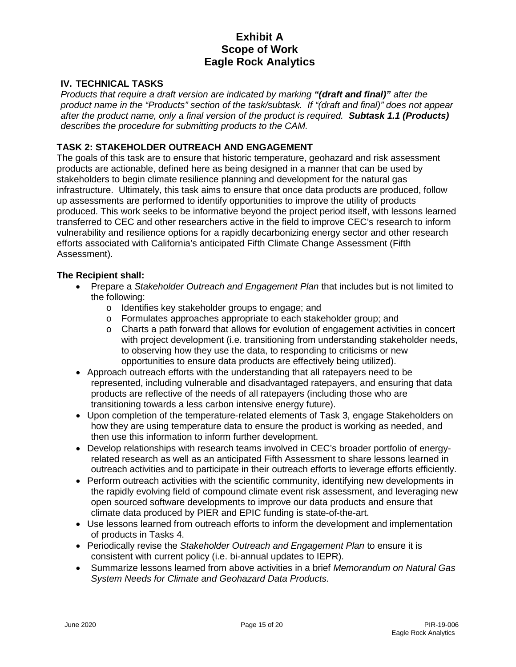## **IV. TECHNICAL TASKS**

*Products that require a draft version are indicated by marking "(draft and final)" after the product name in the "Products" section of the task/subtask. If "(draft and final)" does not appear after the product name, only a final version of the product is required. Subtask 1.1 (Products) describes the procedure for submitting products to the CAM.* 

#### **TASK 2: STAKEHOLDER OUTREACH AND ENGAGEMENT**

The goals of this task are to ensure that historic temperature, geohazard and risk assessment products are actionable, defined here as being designed in a manner that can be used by stakeholders to begin climate resilience planning and development for the natural gas infrastructure. Ultimately, this task aims to ensure that once data products are produced, follow up assessments are performed to identify opportunities to improve the utility of products produced. This work seeks to be informative beyond the project period itself, with lessons learned transferred to CEC and other researchers active in the field to improve CEC's research to inform vulnerability and resilience options for a rapidly decarbonizing energy sector and other research efforts associated with California's anticipated Fifth Climate Change Assessment (Fifth Assessment).

#### **The Recipient shall:**

- Prepare a *Stakeholder Outreach and Engagement Plan* that includes but is not limited to the following:
	- o Identifies key stakeholder groups to engage; and
	- o Formulates approaches appropriate to each stakeholder group; and
	- o Charts a path forward that allows for evolution of engagement activities in concert with project development (i.e. transitioning from understanding stakeholder needs, to observing how they use the data, to responding to criticisms or new opportunities to ensure data products are effectively being utilized).
- Approach outreach efforts with the understanding that all ratepayers need to be represented, including vulnerable and disadvantaged ratepayers, and ensuring that data products are reflective of the needs of all ratepayers (including those who are transitioning towards a less carbon intensive energy future).
- Upon completion of the temperature-related elements of Task 3, engage Stakeholders on how they are using temperature data to ensure the product is working as needed, and then use this information to inform further development.
- Develop relationships with research teams involved in CEC's broader portfolio of energyrelated research as well as an anticipated Fifth Assessment to share lessons learned in outreach activities and to participate in their outreach efforts to leverage efforts efficiently.
- Perform outreach activities with the scientific community, identifying new developments in the rapidly evolving field of compound climate event risk assessment, and leveraging new open sourced software developments to improve our data products and ensure that climate data produced by PIER and EPIC funding is state-of-the-art.
- Use lessons learned from outreach efforts to inform the development and implementation of products in Tasks 4.
- Periodically revise the *Stakeholder Outreach and Engagement Plan* to ensure it is consistent with current policy (i.e. bi-annual updates to IEPR).
- Summarize lessons learned from above activities in a brief *Memorandum on Natural Gas System Needs for Climate and Geohazard Data Products.*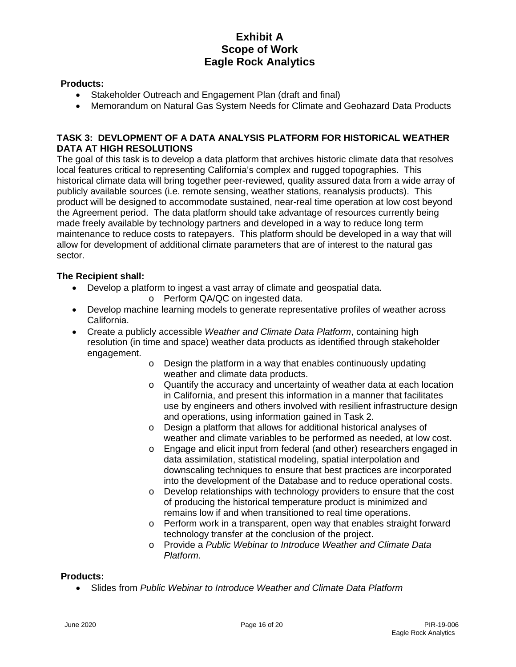#### **Products:**

- Stakeholder Outreach and Engagement Plan (draft and final)
- Memorandum on Natural Gas System Needs for Climate and Geohazard Data Products

#### **TASK 3: DEVLOPMENT OF A DATA ANALYSIS PLATFORM FOR HISTORICAL WEATHER DATA AT HIGH RESOLUTIONS**

The goal of this task is to develop a data platform that archives historic climate data that resolves local features critical to representing California's complex and rugged topographies. This historical climate data will bring together peer-reviewed, quality assured data from a wide array of publicly available sources (i.e. remote sensing, weather stations, reanalysis products). This product will be designed to accommodate sustained, near-real time operation at low cost beyond the Agreement period. The data platform should take advantage of resources currently being made freely available by technology partners and developed in a way to reduce long term maintenance to reduce costs to ratepayers. This platform should be developed in a way that will allow for development of additional climate parameters that are of interest to the natural gas sector.

#### **The Recipient shall:**

- Develop a platform to ingest a vast array of climate and geospatial data.
	- o Perform QA/QC on ingested data.
- Develop machine learning models to generate representative profiles of weather across California.
- Create a publicly accessible *Weather and Climate Data Platform*, containing high resolution (in time and space) weather data products as identified through stakeholder engagement.
	- o Design the platform in a way that enables continuously updating weather and climate data products.
	- o Quantify the accuracy and uncertainty of weather data at each location in California, and present this information in a manner that facilitates use by engineers and others involved with resilient infrastructure design and operations, using information gained in Task 2.
	- o Design a platform that allows for additional historical analyses of weather and climate variables to be performed as needed, at low cost.
	- o Engage and elicit input from federal (and other) researchers engaged in data assimilation, statistical modeling, spatial interpolation and downscaling techniques to ensure that best practices are incorporated into the development of the Database and to reduce operational costs.
	- o Develop relationships with technology providers to ensure that the cost of producing the historical temperature product is minimized and remains low if and when transitioned to real time operations.
	- o Perform work in a transparent, open way that enables straight forward technology transfer at the conclusion of the project.
	- o Provide a *Public Webinar to Introduce Weather and Climate Data Platform*.

#### **Products:**

• Slides from *Public Webinar to Introduce Weather and Climate Data Platform*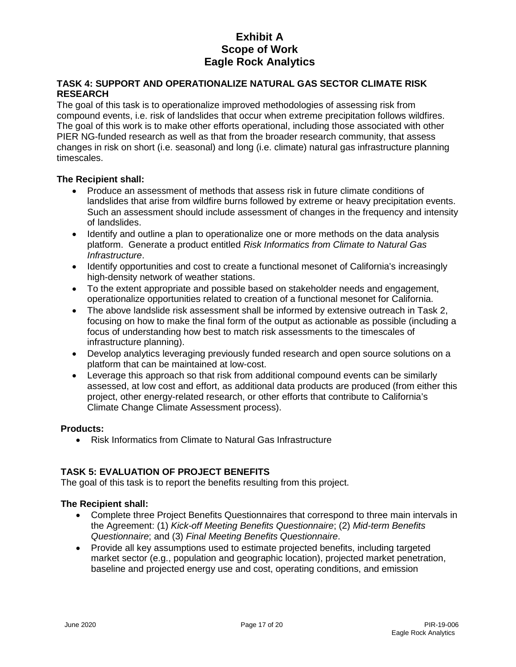### **TASK 4: SUPPORT AND OPERATIONALIZE NATURAL GAS SECTOR CLIMATE RISK RESEARCH**

The goal of this task is to operationalize improved methodologies of assessing risk from compound events, i.e. risk of landslides that occur when extreme precipitation follows wildfires. The goal of this work is to make other efforts operational, including those associated with other PIER NG-funded research as well as that from the broader research community, that assess changes in risk on short (i.e. seasonal) and long (i.e. climate) natural gas infrastructure planning timescales.

## **The Recipient shall:**

- Produce an assessment of methods that assess risk in future climate conditions of landslides that arise from wildfire burns followed by extreme or heavy precipitation events. Such an assessment should include assessment of changes in the frequency and intensity of landslides.
- Identify and outline a plan to operationalize one or more methods on the data analysis platform. Generate a product entitled *Risk Informatics from Climate to Natural Gas Infrastructure*.
- Identify opportunities and cost to create a functional mesonet of California's increasingly high-density network of weather stations.
- To the extent appropriate and possible based on stakeholder needs and engagement, operationalize opportunities related to creation of a functional mesonet for California.
- The above landslide risk assessment shall be informed by extensive outreach in Task 2, focusing on how to make the final form of the output as actionable as possible (including a focus of understanding how best to match risk assessments to the timescales of infrastructure planning).
- Develop analytics leveraging previously funded research and open source solutions on a platform that can be maintained at low-cost.
- Leverage this approach so that risk from additional compound events can be similarly assessed, at low cost and effort, as additional data products are produced (from either this project, other energy-related research, or other efforts that contribute to California's Climate Change Climate Assessment process).

## **Products:**

• Risk Informatics from Climate to Natural Gas Infrastructure

## **TASK 5: EVALUATION OF PROJECT BENEFITS**

The goal of this task is to report the benefits resulting from this project.

## **The Recipient shall:**

- Complete three Project Benefits Questionnaires that correspond to three main intervals in the Agreement: (1) *Kick-off Meeting Benefits Questionnaire*; (2) *Mid-term Benefits Questionnaire*; and (3) *Final Meeting Benefits Questionnaire*.
- Provide all key assumptions used to estimate projected benefits, including targeted market sector (e.g., population and geographic location), projected market penetration, baseline and projected energy use and cost, operating conditions, and emission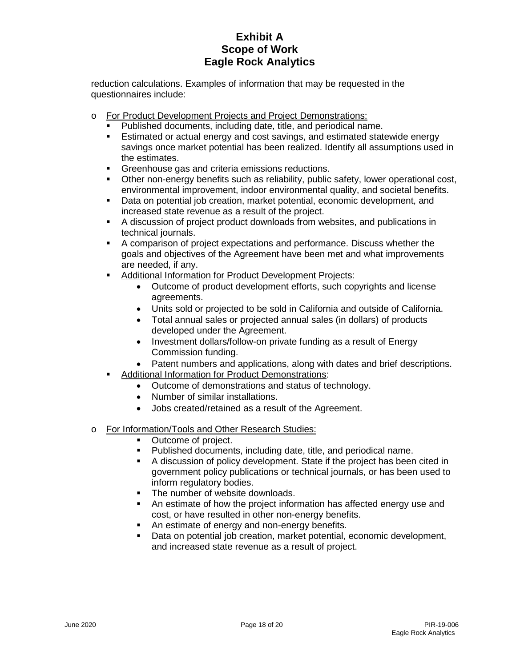reduction calculations. Examples of information that may be requested in the questionnaires include:

- o For Product Development Projects and Project Demonstrations:
	- Published documents, including date, title, and periodical name.
	- Estimated or actual energy and cost savings, and estimated statewide energy savings once market potential has been realized. Identify all assumptions used in the estimates.
	- **Greenhouse gas and criteria emissions reductions.**
	- Other non-energy benefits such as reliability, public safety, lower operational cost, environmental improvement, indoor environmental quality, and societal benefits.
	- Data on potential job creation, market potential, economic development, and increased state revenue as a result of the project.
	- A discussion of project product downloads from websites, and publications in technical journals.
	- A comparison of project expectations and performance. Discuss whether the goals and objectives of the Agreement have been met and what improvements are needed, if any.
	- **Additional Information for Product Development Projects:** 
		- Outcome of product development efforts, such copyrights and license agreements.
		- Units sold or projected to be sold in California and outside of California.
		- Total annual sales or projected annual sales (in dollars) of products developed under the Agreement.
		- Investment dollars/follow-on private funding as a result of Energy Commission funding.
		- Patent numbers and applications, along with dates and brief descriptions.
	- Additional Information for Product Demonstrations:
		- Outcome of demonstrations and status of technology.
		- Number of similar installations.
		- Jobs created/retained as a result of the Agreement.
- o For Information/Tools and Other Research Studies:
	- Outcome of project.
	- Published documents, including date, title, and periodical name.
	- A discussion of policy development. State if the project has been cited in government policy publications or technical journals, or has been used to inform regulatory bodies.
	- The number of website downloads.
	- An estimate of how the project information has affected energy use and cost, or have resulted in other non-energy benefits.
	- An estimate of energy and non-energy benefits.
	- Data on potential job creation, market potential, economic development, and increased state revenue as a result of project.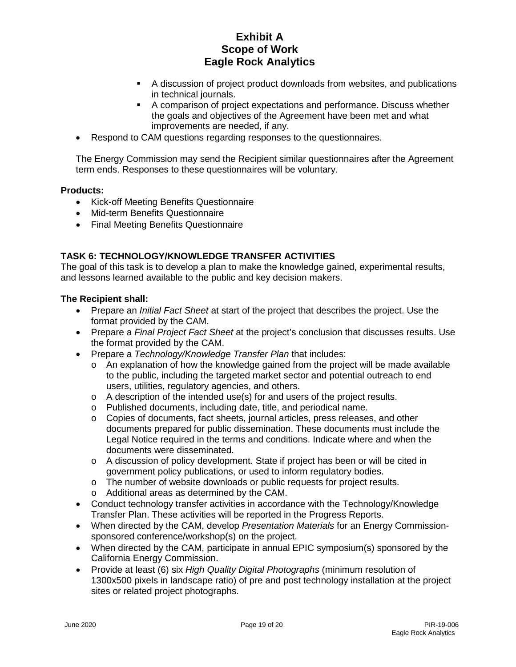- A discussion of project product downloads from websites, and publications in technical journals.
- A comparison of project expectations and performance. Discuss whether the goals and objectives of the Agreement have been met and what improvements are needed, if any.
- Respond to CAM questions regarding responses to the questionnaires.

The Energy Commission may send the Recipient similar questionnaires after the Agreement term ends. Responses to these questionnaires will be voluntary.

#### **Products:**

- Kick-off Meeting Benefits Questionnaire
- Mid-term Benefits Questionnaire
- Final Meeting Benefits Questionnaire

## **TASK 6: TECHNOLOGY/KNOWLEDGE TRANSFER ACTIVITIES**

The goal of this task is to develop a plan to make the knowledge gained, experimental results, and lessons learned available to the public and key decision makers.

#### **The Recipient shall:**

- Prepare an *Initial Fact Sheet* at start of the project that describes the project. Use the format provided by the CAM.
- Prepare a *Final Project Fact Sheet* at the project's conclusion that discusses results. Use the format provided by the CAM.
- Prepare a *Technology/Knowledge Transfer Plan* that includes:
	- $\circ$  An explanation of how the knowledge gained from the project will be made available to the public, including the targeted market sector and potential outreach to end users, utilities, regulatory agencies, and others.
	- $\circ$  A description of the intended use(s) for and users of the project results.
	- o Published documents, including date, title, and periodical name.
	- o Copies of documents, fact sheets, journal articles, press releases, and other documents prepared for public dissemination. These documents must include the Legal Notice required in the terms and conditions. Indicate where and when the documents were disseminated.
	- o A discussion of policy development. State if project has been or will be cited in government policy publications, or used to inform regulatory bodies.
	- o The number of website downloads or public requests for project results.
	- o Additional areas as determined by the CAM.
- Conduct technology transfer activities in accordance with the Technology/Knowledge Transfer Plan. These activities will be reported in the Progress Reports.
- When directed by the CAM, develop *Presentation Materials* for an Energy Commissionsponsored conference/workshop(s) on the project.
- When directed by the CAM, participate in annual EPIC symposium(s) sponsored by the California Energy Commission.
- Provide at least (6) six *High Quality Digital Photographs* (minimum resolution of 1300x500 pixels in landscape ratio) of pre and post technology installation at the project sites or related project photographs.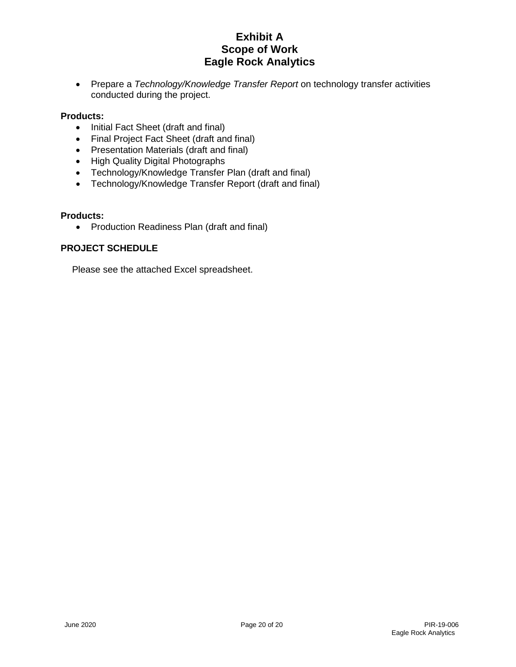• Prepare a *Technology/Knowledge Transfer Report* on technology transfer activities conducted during the project.

## **Products:**

- Initial Fact Sheet (draft and final)
- Final Project Fact Sheet (draft and final)
- Presentation Materials (draft and final)
- High Quality Digital Photographs
- Technology/Knowledge Transfer Plan (draft and final)
- Technology/Knowledge Transfer Report (draft and final)

#### **Products:**

• Production Readiness Plan (draft and final)

#### **PROJECT SCHEDULE**

Please see the attached Excel spreadsheet.